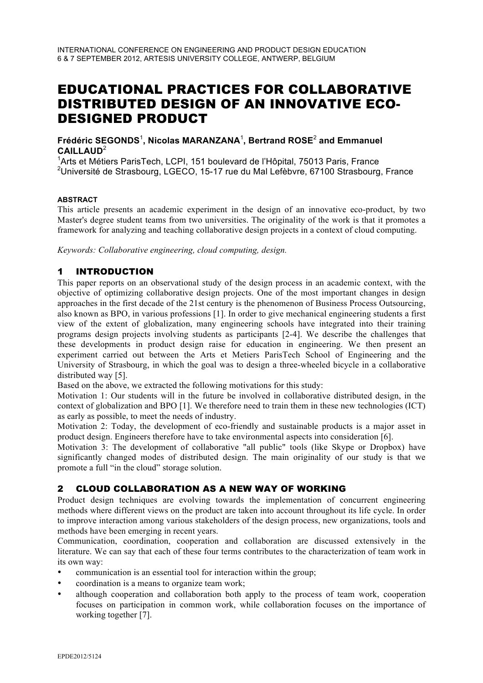# EDUCATIONAL PRACTICES FOR COLLABORATIVE DISTRIBUTED DESIGN OF AN INNOVATIVE ECO-DESIGNED PRODUCT

**Frédéric SEGONDS**<sup>1</sup> **, Nicolas MARANZANA**<sup>1</sup> **, Bertrand ROSE**<sup>2</sup> **and Emmanuel CAILLAUD**<sup>2</sup>

<sup>1</sup>Arts et Métiers ParisTech, LCPI, 151 boulevard de l'Hôpital, 75013 Paris, France  $^{2}$ Université de Strasbourg, LGECO, 15-17 rue du Mal Lefèbvre, 67100 Strasbourg, France

#### **ABSTRACT**

This article presents an academic experiment in the design of an innovative eco-product, by two Master's degree student teams from two universities. The originality of the work is that it promotes a framework for analyzing and teaching collaborative design projects in a context of cloud computing.

*Keywords: Collaborative engineering, cloud computing, design.*

# 1 INTRODUCTION

This paper reports on an observational study of the design process in an academic context, with the objective of optimizing collaborative design projects. One of the most important changes in design approaches in the first decade of the 21st century is the phenomenon of Business Process Outsourcing, also known as BPO, in various professions [1]. In order to give mechanical engineering students a first view of the extent of globalization, many engineering schools have integrated into their training programs design projects involving students as participants [2-4]. We describe the challenges that these developments in product design raise for education in engineering. We then present an experiment carried out between the Arts et Metiers ParisTech School of Engineering and the University of Strasbourg, in which the goal was to design a three-wheeled bicycle in a collaborative distributed way [5].

Based on the above, we extracted the following motivations for this study:

Motivation 1: Our students will in the future be involved in collaborative distributed design, in the context of globalization and BPO [1]. We therefore need to train them in these new technologies (ICT) as early as possible, to meet the needs of industry.

Motivation 2: Today, the development of eco-friendly and sustainable products is a major asset in product design. Engineers therefore have to take environmental aspects into consideration [6].

Motivation 3: The development of collaborative "all public" tools (like Skype or Dropbox) have significantly changed modes of distributed design. The main originality of our study is that we promote a full "in the cloud" storage solution.

# 2 CLOUD COLLABORATION AS A NEW WAY OF WORKING

Product design techniques are evolving towards the implementation of concurrent engineering methods where different views on the product are taken into account throughout its life cycle. In order to improve interaction among various stakeholders of the design process, new organizations, tools and methods have been emerging in recent years.

Communication, coordination, cooperation and collaboration are discussed extensively in the literature. We can say that each of these four terms contributes to the characterization of team work in its own way:

- communication is an essential tool for interaction within the group;
- coordination is a means to organize team work;
- although cooperation and collaboration both apply to the process of team work, cooperation focuses on participation in common work, while collaboration focuses on the importance of working together [7].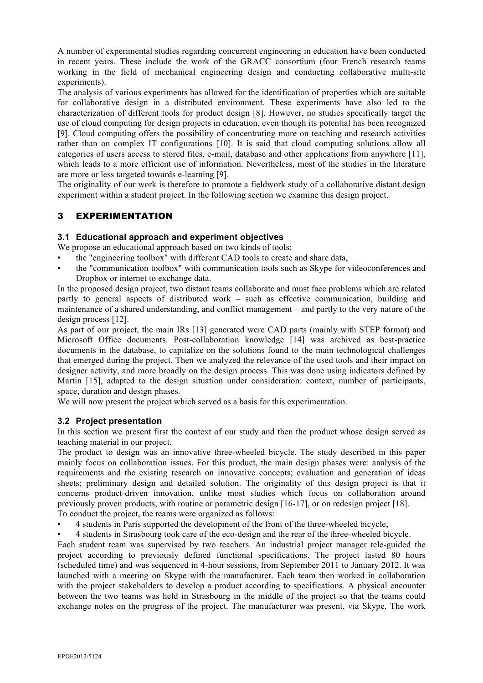A number of experimental studies regarding concurrent engineering in education have been conducted in recent years. These include the work of the GRACC consortium (four French research teams working in the field of mechanical engineering design and conducting collaborative multi-site experiments).

The analysis of various experiments has allowed for the identification of properties which are suitable for collaborative design in a distributed environment. These experiments have also led to the characterization of different tools for product design [8]. However, no studies specifically target the use of cloud computing for design projects in education, even though its potential has been recognized [9]. Cloud computing offers the possibility of concentrating more on teaching and research activities rather than on complex IT configurations [10]. It is said that cloud computing solutions allow all categories of users access to stored files, e-mail, database and other applications from anywhere [11], which leads to a more efficient use of information. Nevertheless, most of the studies in the literature are more or less targeted towards e-learning [9].

The originality of our work is therefore to promote a fieldwork study of a collaborative distant design experiment within a student project. In the following section we examine this design project.

# 3 EXPERIMENTATION

## **3.1 Educational approach and experiment objectives**

We propose an educational approach based on two kinds of tools:

- the "engineering toolbox" with different CAD tools to create and share data,
- the "communication toolbox" with communication tools such as Skype for videoconferences and Dropbox or internet to exchange data.

In the proposed design project, two distant teams collaborate and must face problems which are related partly to general aspects of distributed work – such as effective communication, building and maintenance of a shared understanding, and conflict management – and partly to the very nature of the design process [12].

As part of our project, the main IRs [13] generated were CAD parts (mainly with STEP format) and Microsoft Office documents. Post-collaboration knowledge [14] was archived as best-practice documents in the database, to capitalize on the solutions found to the main technological challenges that emerged during the project. Then we analyzed the relevance of the used tools and their impact on designer activity, and more broadly on the design process. This was done using indicators defined by Martin [15], adapted to the design situation under consideration: context, number of participants, space, duration and design phases.

We will now present the project which served as a basis for this experimentation.

## **3.2 Project presentation**

In this section we present first the context of our study and then the product whose design served as teaching material in our project.

The product to design was an innovative three-wheeled bicycle. The study described in this paper mainly focus on collaboration issues. For this product, the main design phases were: analysis of the requirements and the existing research on innovative concepts; evaluation and generation of ideas sheets; preliminary design and detailed solution. The originality of this design project is that it concerns product-driven innovation, unlike most studies which focus on collaboration around previously proven products, with routine or parametric design [16-17], or on redesign project [18]. To conduct the project, the teams were organized as follows:

- L 4 students in Paris supported the development of the front of the three-wheeled bicycle,
- L 4 students in Strasbourg took care of the eco-design and the rear of the three-wheeled bicycle.

Each student team was supervised by two teachers. An industrial project manager tele-guided the project according to previously defined functional specifications. The project lasted 80 hours (scheduled time) and was sequenced in 4-hour sessions, from September 2011 to January 2012. It was launched with a meeting on Skype with the manufacturer. Each team then worked in collaboration with the project stakeholders to develop a product according to specifications. A physical encounter between the two teams was held in Strasbourg in the middle of the project so that the teams could exchange notes on the progress of the project. The manufacturer was present, via Skype. The work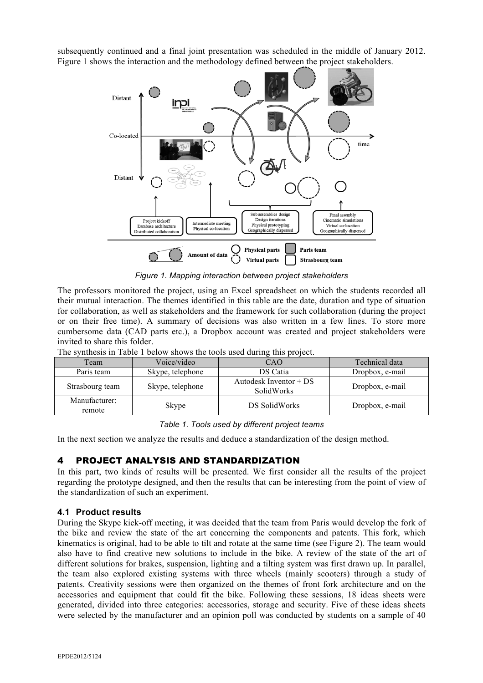subsequently continued and a final joint presentation was scheduled in the middle of January 2012. Figure 1 shows the interaction and the methodology defined between the project stakeholders.



*Figure 1. Mapping interaction between project stakeholders*

The professors monitored the project, using an Excel spreadsheet on which the students recorded all their mutual interaction. The themes identified in this table are the date, duration and type of situation for collaboration, as well as stakeholders and the framework for such collaboration (during the project or on their free time). A summary of decisions was also written in a few lines. To store more cumbersome data (CAD parts etc.), a Dropbox account was created and project stakeholders were invited to share this folder.

| The plusted in twole I care a prior by the topic word when whille the project. |                  |                                      |                 |
|--------------------------------------------------------------------------------|------------------|--------------------------------------|-----------------|
| Team                                                                           | Voice/video      | CAO                                  | Technical data  |
| Paris team                                                                     | Skype, telephone | DS Catia                             | Dropbox, e-mail |
| Strasbourg team                                                                | Skype, telephone | Autodesk Inventor + DS<br>SolidWorks | Dropbox, e-mail |
| Manufacturer:<br>remote                                                        | Skype            | DS SolidWorks                        | Dropbox, e-mail |

The synthesis in Table 1 below shows the tools used during this project.

#### *Table 1. Tools used by different project teams*

In the next section we analyze the results and deduce a standardization of the design method.

## 4 PROJECT ANALYSIS AND STANDARDIZATION

In this part, two kinds of results will be presented. We first consider all the results of the project regarding the prototype designed, and then the results that can be interesting from the point of view of the standardization of such an experiment.

## **4.1 Product results**

During the Skype kick-off meeting, it was decided that the team from Paris would develop the fork of the bike and review the state of the art concerning the components and patents. This fork, which kinematics is original, had to be able to tilt and rotate at the same time (see Figure 2). The team would also have to find creative new solutions to include in the bike. A review of the state of the art of different solutions for brakes, suspension, lighting and a tilting system was first drawn up. In parallel, the team also explored existing systems with three wheels (mainly scooters) through a study of patents. Creativity sessions were then organized on the themes of front fork architecture and on the accessories and equipment that could fit the bike. Following these sessions, 18 ideas sheets were generated, divided into three categories: accessories, storage and security. Five of these ideas sheets were selected by the manufacturer and an opinion poll was conducted by students on a sample of 40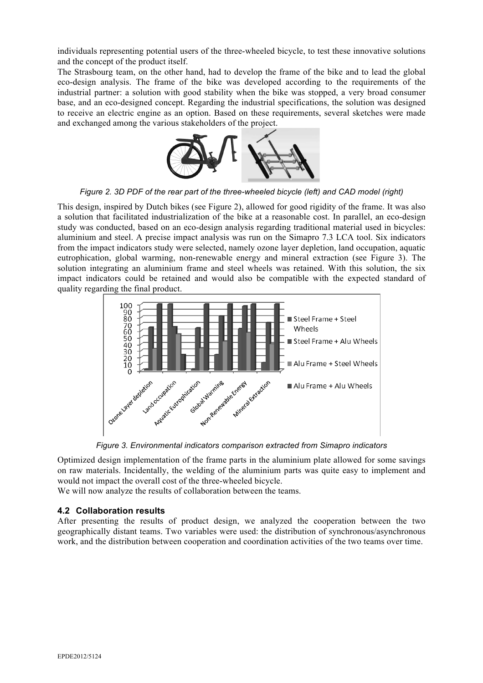individuals representing potential users of the three-wheeled bicycle, to test these innovative solutions and the concept of the product itself.

The Strasbourg team, on the other hand, had to develop the frame of the bike and to lead the global eco-design analysis. The frame of the bike was developed according to the requirements of the industrial partner: a solution with good stability when the bike was stopped, a very broad consumer base, and an eco-designed concept. Regarding the industrial specifications, the solution was designed to receive an electric engine as an option. Based on these requirements, several sketches were made and exchanged among the various stakeholders of the project.



*Figure 2. 3D PDF of the rear part of the three-wheeled bicycle (left) and CAD model (right)*

This design, inspired by Dutch bikes (see Figure 2), allowed for good rigidity of the frame. It was also a solution that facilitated industrialization of the bike at a reasonable cost. In parallel, an eco-design study was conducted, based on an eco-design analysis regarding traditional material used in bicycles: aluminium and steel. A precise impact analysis was run on the Simapro 7.3 LCA tool. Six indicators from the impact indicators study were selected, namely ozone layer depletion, land occupation, aquatic eutrophication, global warming, non-renewable energy and mineral extraction (see Figure 3). The solution integrating an aluminium frame and steel wheels was retained. With this solution, the six impact indicators could be retained and would also be compatible with the expected standard of quality regarding the final product.



*Figure 3. Environmental indicators comparison extracted from Simapro indicators*

Optimized design implementation of the frame parts in the aluminium plate allowed for some savings on raw materials. Incidentally, the welding of the aluminium parts was quite easy to implement and would not impact the overall cost of the three-wheeled bicycle.

We will now analyze the results of collaboration between the teams.

## **4.2 Collaboration results**

After presenting the results of product design, we analyzed the cooperation between the two geographically distant teams. Two variables were used: the distribution of synchronous/asynchronous work, and the distribution between cooperation and coordination activities of the two teams over time.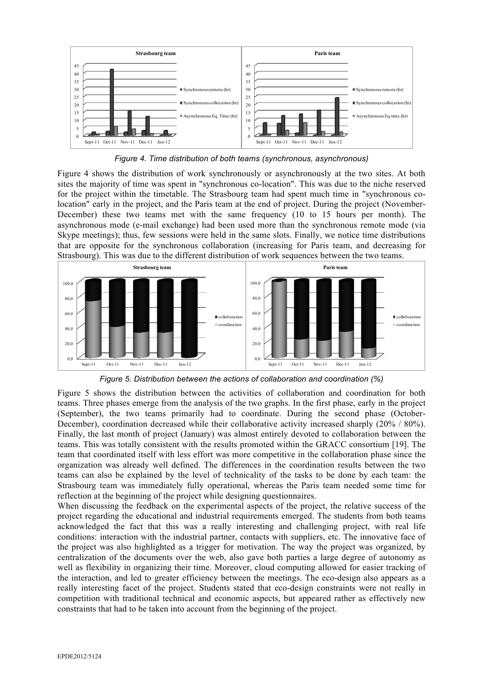

*Figure 4. Time distribution of both teams (synchronous, asynchronous)*

Figure 4 shows the distribution of work synchronously or asynchronously at the two sites. At both sites the majority of time was spent in "synchronous co-location". This was due to the niche reserved for the project within the timetable. The Strasbourg team had spent much time in "synchronous colocation" early in the project, and the Paris team at the end of project. During the project (November-December) these two teams met with the same frequency (10 to 15 hours per month). The asynchronous mode (e-mail exchange) had been used more than the synchronous remote mode (via Skype meetings); thus, few sessions were held in the same slots. Finally, we notice time distributions that are opposite for the synchronous collaboration (increasing for Paris team, and decreasing for Strasbourg). This was due to the different distribution of work sequences between the two teams.



*Figure 5. Distribution between the actions of collaboration and coordination (%)*

Figure 5 shows the distribution between the activities of collaboration and coordination for both teams. Three phases emerge from the analysis of the two graphs. In the first phase, early in the project (September), the two teams primarily had to coordinate. During the second phase (October-December), coordination decreased while their collaborative activity increased sharply (20% / 80%). Finally, the last month of project (January) was almost entirely devoted to collaboration between the teams. This was totally consistent with the results promoted within the GRACC consortium [19]. The team that coordinated itself with less effort was more competitive in the collaboration phase since the organization was already well defined. The differences in the coordination results between the two teams can also be explained by the level of technicality of the tasks to be done by each team: the Strasbourg team was immediately fully operational, whereas the Paris team needed some time for reflection at the beginning of the project while designing questionnaires.

When discussing the feedback on the experimental aspects of the project, the relative success of the project regarding the educational and industrial requirements emerged. The students from both teams acknowledged the fact that this was a really interesting and challenging project, with real life conditions: interaction with the industrial partner, contacts with suppliers, etc. The innovative face of the project was also highlighted as a trigger for motivation. The way the project was organized, by centralization of the documents over the web, also gave both parties a large degree of autonomy as well as flexibility in organizing their time. Moreover, cloud computing allowed for easier tracking of the interaction, and led to greater efficiency between the meetings. The eco-design also appears as a really interesting facet of the project. Students stated that eco-design constraints were not really in competition with traditional technical and economic aspects, but appeared rather as effectively new constraints that had to be taken into account from the beginning of the project.